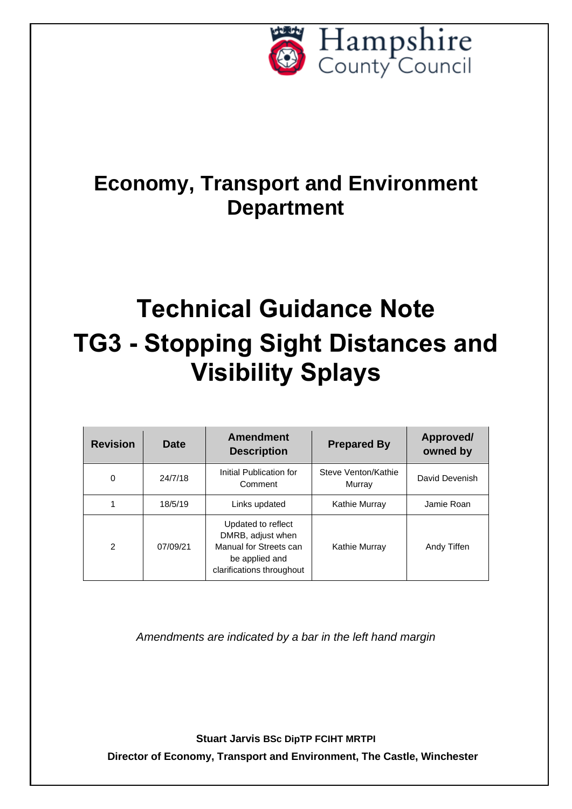

## **Economy, Transport and Environment Department**

# **Technical Guidance Note TG3 - Stopping Sight Distances and Visibility Splays**

| <b>Revision</b> | <b>Date</b> | <b>Amendment</b><br><b>Description</b>                                                                           | <b>Prepared By</b>            | Approved/<br>owned by |  |
|-----------------|-------------|------------------------------------------------------------------------------------------------------------------|-------------------------------|-----------------------|--|
| 0               | 24/7/18     | Initial Publication for<br>Comment                                                                               | Steve Venton/Kathie<br>Murray |                       |  |
|                 | 18/5/19     | Links updated<br>Kathie Murray                                                                                   |                               | Jamie Roan            |  |
| $\mathcal{P}$   | 07/09/21    | Updated to reflect<br>DMRB, adjust when<br>Manual for Streets can<br>be applied and<br>clarifications throughout | Kathie Murray                 | Andy Tiffen           |  |

*Amendments are indicated by a bar in the left hand margin*

**Stuart Jarvis BSc DipTP FCIHT MRTPI**

**Director of Economy, Transport and Environment, The Castle, Winchester**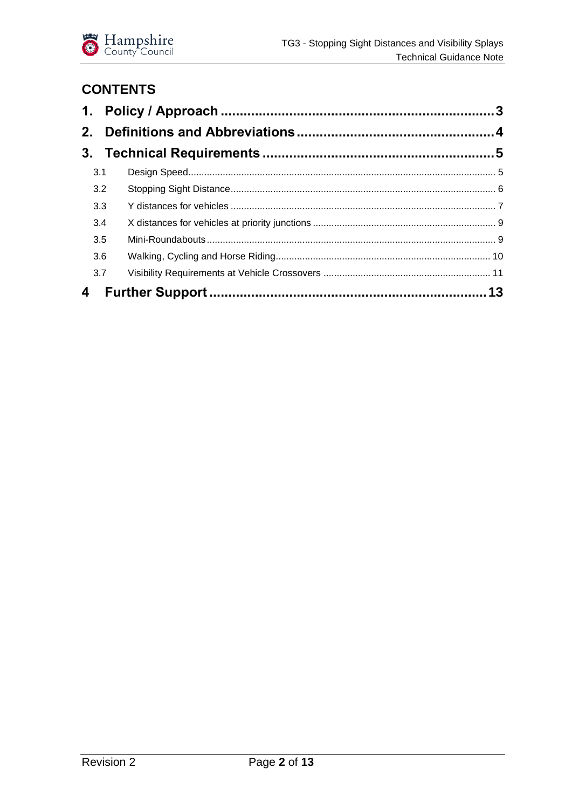

## **CONTENTS**

| 3.1 |  |
|-----|--|
| 3.2 |  |
| 3.3 |  |
| 3.4 |  |
| 3.5 |  |
| 3.6 |  |
| 3.7 |  |
|     |  |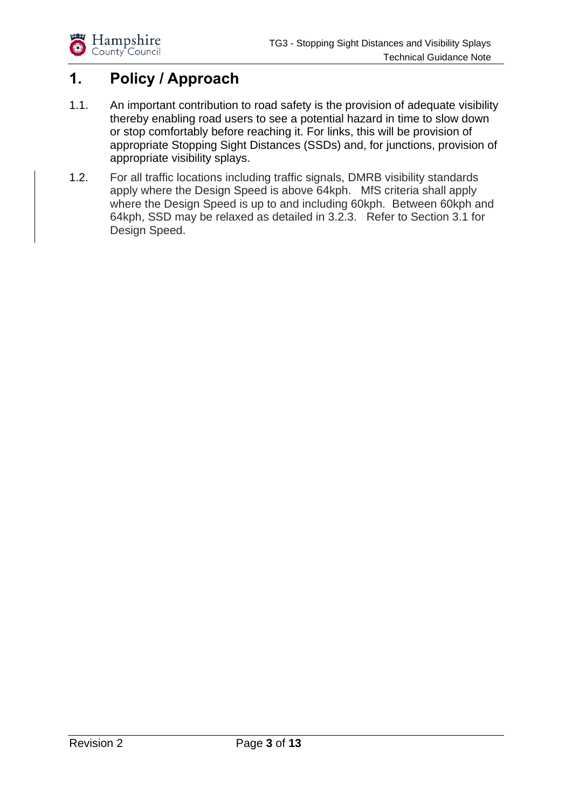## <span id="page-2-0"></span>**1. Policy / Approach**

- 1.1. An important contribution to road safety is the provision of adequate visibility thereby enabling road users to see a potential hazard in time to slow down or stop comfortably before reaching it. For links, this will be provision of appropriate Stopping Sight Distances (SSDs) and, for junctions, provision of appropriate visibility splays.
- 1.2. For all traffic locations including traffic signals, DMRB visibility standards apply where the Design Speed is above 64kph. MfS criteria shall apply where the Design Speed is up to and including 60kph. Between 60kph and 64kph, SSD may be relaxed as detailed in 3.2.3. Refer to Section 3.1 for Design Speed.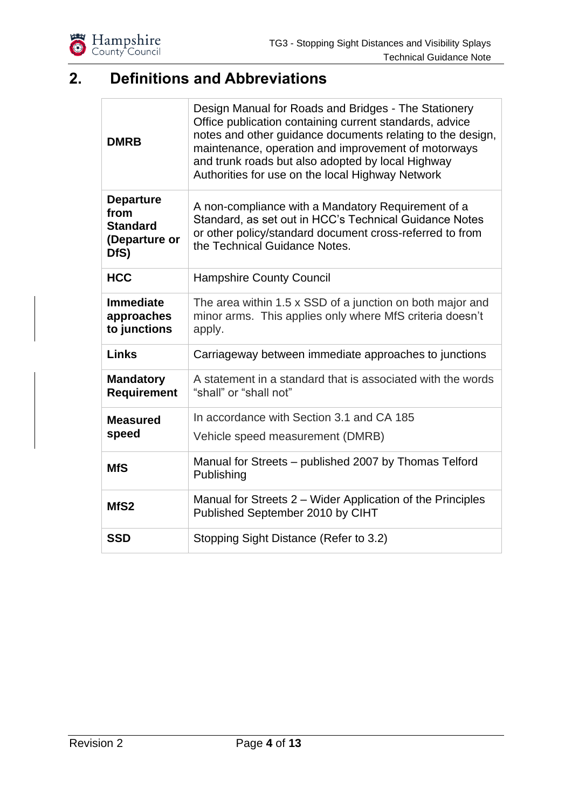

## <span id="page-3-0"></span>**2. Definitions and Abbreviations**

| <b>DMRB</b>                                                          | Design Manual for Roads and Bridges - The Stationery<br>Office publication containing current standards, advice<br>notes and other guidance documents relating to the design,<br>maintenance, operation and improvement of motorways<br>and trunk roads but also adopted by local Highway<br>Authorities for use on the local Highway Network |  |  |  |  |
|----------------------------------------------------------------------|-----------------------------------------------------------------------------------------------------------------------------------------------------------------------------------------------------------------------------------------------------------------------------------------------------------------------------------------------|--|--|--|--|
| <b>Departure</b><br>from<br><b>Standard</b><br>(Departure or<br>DfS) | A non-compliance with a Mandatory Requirement of a<br>Standard, as set out in HCC's Technical Guidance Notes<br>or other policy/standard document cross-referred to from<br>the Technical Guidance Notes.                                                                                                                                     |  |  |  |  |
| <b>HCC</b>                                                           | <b>Hampshire County Council</b>                                                                                                                                                                                                                                                                                                               |  |  |  |  |
| <b>Immediate</b><br>approaches<br>to junctions                       | The area within 1.5 x SSD of a junction on both major and<br>minor arms. This applies only where MfS criteria doesn't<br>apply.                                                                                                                                                                                                               |  |  |  |  |
| <b>Links</b>                                                         | Carriageway between immediate approaches to junctions                                                                                                                                                                                                                                                                                         |  |  |  |  |
| <b>Mandatory</b><br><b>Requirement</b>                               | A statement in a standard that is associated with the words<br>"shall" or "shall not"                                                                                                                                                                                                                                                         |  |  |  |  |
| <b>Measured</b>                                                      | In accordance with Section 3.1 and CA 185                                                                                                                                                                                                                                                                                                     |  |  |  |  |
| speed                                                                | Vehicle speed measurement (DMRB)                                                                                                                                                                                                                                                                                                              |  |  |  |  |
| <b>MfS</b>                                                           | Manual for Streets - published 2007 by Thomas Telford<br>Publishing                                                                                                                                                                                                                                                                           |  |  |  |  |
| MfS <sub>2</sub>                                                     | Manual for Streets 2 – Wider Application of the Principles<br>Published September 2010 by CIHT                                                                                                                                                                                                                                                |  |  |  |  |
| <b>SSD</b>                                                           | Stopping Sight Distance (Refer to 3.2)                                                                                                                                                                                                                                                                                                        |  |  |  |  |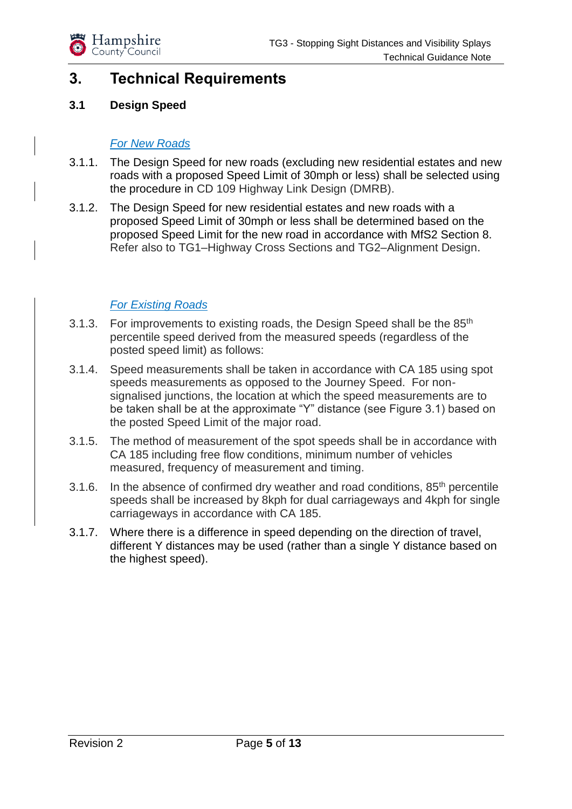

## <span id="page-4-0"></span>**3. Technical Requirements**

#### <span id="page-4-1"></span>**3.1 Design Speed**

#### *For New Roads*

- 3.1.1. The Design Speed for new roads (excluding new residential estates and new roads with a proposed Speed Limit of 30mph or less) shall be selected using the procedure in CD 109 Highway Link Design (DMRB).
- 3.1.2. The Design Speed for new residential estates and new roads with a proposed Speed Limit of 30mph or less shall be determined based on the proposed Speed Limit for the new road in accordance with MfS2 Section 8. Refer also to TG1–Highway Cross Sections and TG2–Alignment Design.

#### *For Existing Roads*

- 3.1.3. For improvements to existing roads, the Design Speed shall be the 85<sup>th</sup> percentile speed derived from the measured speeds (regardless of the posted speed limit) as follows:
- 3.1.4. Speed measurements shall be taken in accordance with CA 185 using spot speeds measurements as opposed to the Journey Speed. For nonsignalised junctions, the location at which the speed measurements are to be taken shall be at the approximate "Y" distance (see Figure 3.1) based on the posted Speed Limit of the major road.
- 3.1.5. The method of measurement of the spot speeds shall be in accordance with CA 185 including free flow conditions, minimum number of vehicles measured, frequency of measurement and timing.
- 3.1.6. In the absence of confirmed dry weather and road conditions,  $85<sup>th</sup>$  percentile speeds shall be increased by 8kph for dual carriageways and 4kph for single carriageways in accordance with CA 185.
- 3.1.7. Where there is a difference in speed depending on the direction of travel, different Y distances may be used (rather than a single Y distance based on the highest speed).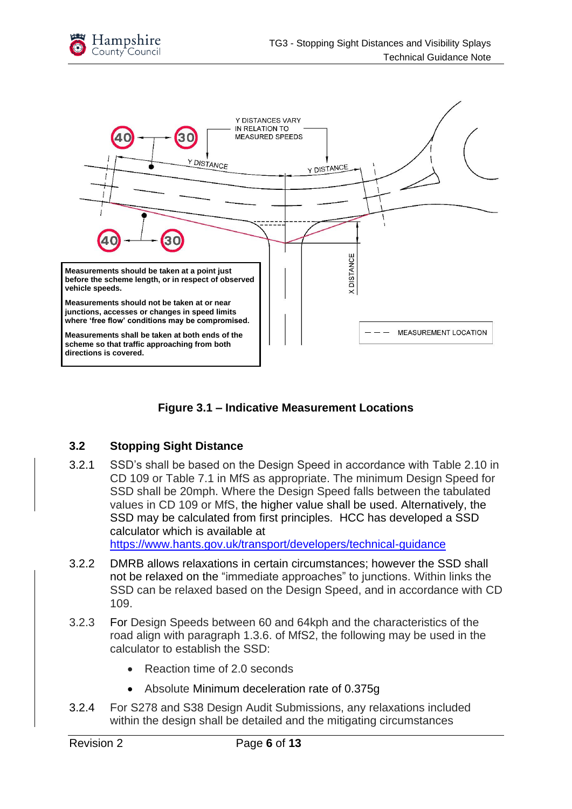



**Figure 3.1 – Indicative Measurement Locations**

#### <span id="page-5-0"></span>**3.2 Stopping Sight Distance**

3.2.1 SSD's shall be based on the Design Speed in accordance with Table 2.10 in CD 109 or Table 7.1 in MfS as appropriate. The minimum Design Speed for SSD shall be 20mph. Where the Design Speed falls between the tabulated values in CD 109 or MfS, the higher value shall be used. Alternatively, the SSD may be calculated from first principles. HCC has developed a SSD calculator which is available at

<https://www.hants.gov.uk/transport/developers/technical-guidance>

- 3.2.2 DMRB allows relaxations in certain circumstances; however the SSD shall not be relaxed on the "immediate approaches" to junctions. Within links the SSD can be relaxed based on the Design Speed, and in accordance with CD 109.
- 3.2.3 For Design Speeds between 60 and 64kph and the characteristics of the road align with paragraph 1.3.6. of MfS2, the following may be used in the calculator to establish the SSD:
	- Reaction time of 2.0 seconds
	- Absolute Minimum deceleration rate of 0.375g
- 3.2.4 For S278 and S38 Design Audit Submissions, any relaxations included within the design shall be detailed and the mitigating circumstances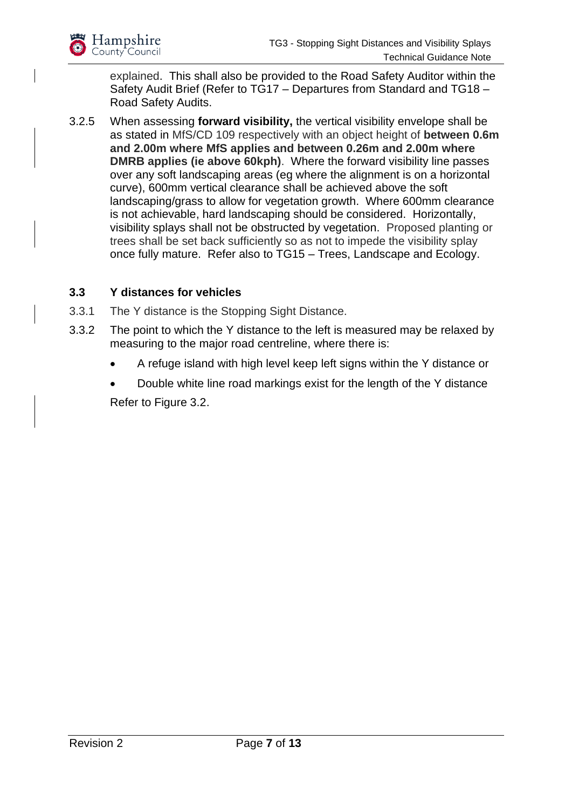

explained. This shall also be provided to the Road Safety Auditor within the Safety Audit Brief (Refer to TG17 – Departures from Standard and TG18 – Road Safety Audits.

3.2.5 When assessing **forward visibility,** the vertical visibility envelope shall be as stated in MfS/CD 109 respectively with an object height of **between 0.6m and 2.00m where MfS applies and between 0.26m and 2.00m where DMRB applies (ie above 60kph)**. Where the forward visibility line passes over any soft landscaping areas (eg where the alignment is on a horizontal curve), 600mm vertical clearance shall be achieved above the soft landscaping/grass to allow for vegetation growth. Where 600mm clearance is not achievable, hard landscaping should be considered. Horizontally, visibility splays shall not be obstructed by vegetation. Proposed planting or trees shall be set back sufficiently so as not to impede the visibility splay once fully mature. Refer also to TG15 – Trees, Landscape and Ecology.

#### <span id="page-6-0"></span>**3.3 Y distances for vehicles**

- 3.3.1 The Y distance is the Stopping Sight Distance.
- 3.3.2 The point to which the Y distance to the left is measured may be relaxed by measuring to the major road centreline, where there is:
	- A refuge island with high level keep left signs within the Y distance or
	- Double white line road markings exist for the length of the Y distance

Refer to Figure 3.2.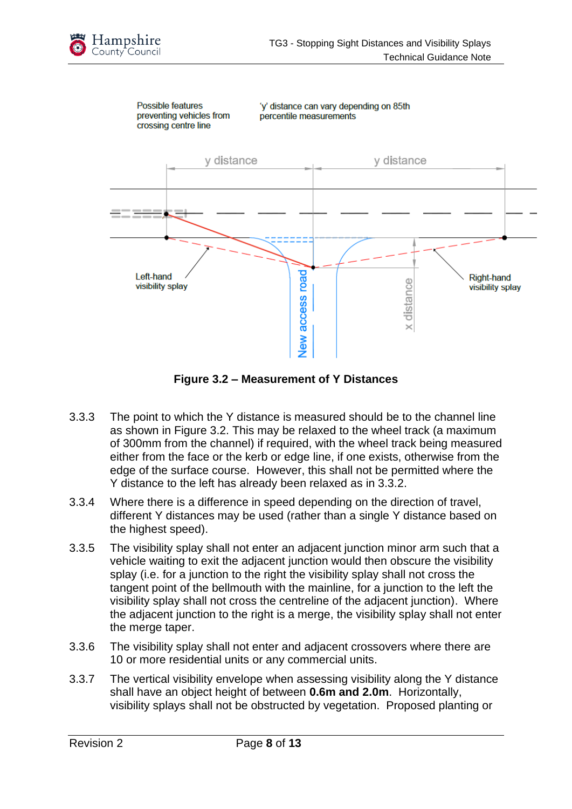



**Figure 3.2 – Measurement of Y Distances**

- 3.3.3 The point to which the Y distance is measured should be to the channel line as shown in Figure 3.2. This may be relaxed to the wheel track (a maximum of 300mm from the channel) if required, with the wheel track being measured either from the face or the kerb or edge line, if one exists, otherwise from the edge of the surface course. However, this shall not be permitted where the Y distance to the left has already been relaxed as in 3.3.2.
- 3.3.4 Where there is a difference in speed depending on the direction of travel, different Y distances may be used (rather than a single Y distance based on the highest speed).
- 3.3.5 The visibility splay shall not enter an adjacent junction minor arm such that a vehicle waiting to exit the adjacent junction would then obscure the visibility splay (i.e. for a junction to the right the visibility splay shall not cross the tangent point of the bellmouth with the mainline, for a junction to the left the visibility splay shall not cross the centreline of the adjacent junction). Where the adjacent junction to the right is a merge, the visibility splay shall not enter the merge taper.
- 3.3.6 The visibility splay shall not enter and adjacent crossovers where there are 10 or more residential units or any commercial units.
- 3.3.7 The vertical visibility envelope when assessing visibility along the Y distance shall have an object height of between **0.6m and 2.0m**. Horizontally, visibility splays shall not be obstructed by vegetation. Proposed planting or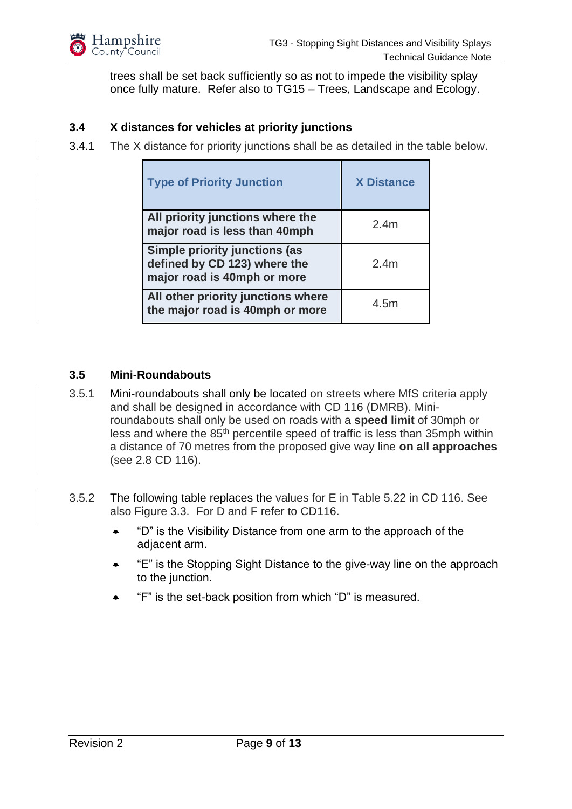

trees shall be set back sufficiently so as not to impede the visibility splay once fully mature. Refer also to TG15 – Trees, Landscape and Ecology.

#### <span id="page-8-0"></span>**3.4 X distances for vehicles at priority junctions**

3.4.1 The X distance for priority junctions shall be as detailed in the table below.

| <b>Type of Priority Junction</b>                                                                    | <b>X Distance</b> |
|-----------------------------------------------------------------------------------------------------|-------------------|
| All priority junctions where the<br>major road is less than 40mph                                   | 2.4 <sub>m</sub>  |
| <b>Simple priority junctions (as</b><br>defined by CD 123) where the<br>major road is 40mph or more | 2.4 <sub>m</sub>  |
| All other priority junctions where<br>the major road is 40mph or more                               | 4.5m              |

#### <span id="page-8-1"></span>**3.5 Mini-Roundabouts**

- 3.5.1 Mini-roundabouts shall only be located on streets where MfS criteria apply and shall be designed in accordance with CD 116 (DMRB). Miniroundabouts shall only be used on roads with a **speed limit** of 30mph or less and where the 85th percentile speed of traffic is less than 35mph within a distance of 70 metres from the proposed give way line **on all approaches** (see 2.8 CD 116).
- 3.5.2 The following table replaces the values for E in Table 5.22 in CD 116. See also Figure 3.3. For D and F refer to CD116.
	- "D" is the Visibility Distance from one arm to the approach of the adjacent arm.
	- "E" is the Stopping Sight Distance to the give-way line on the approach to the junction.
	- "F" is the set-back position from which "D" is measured.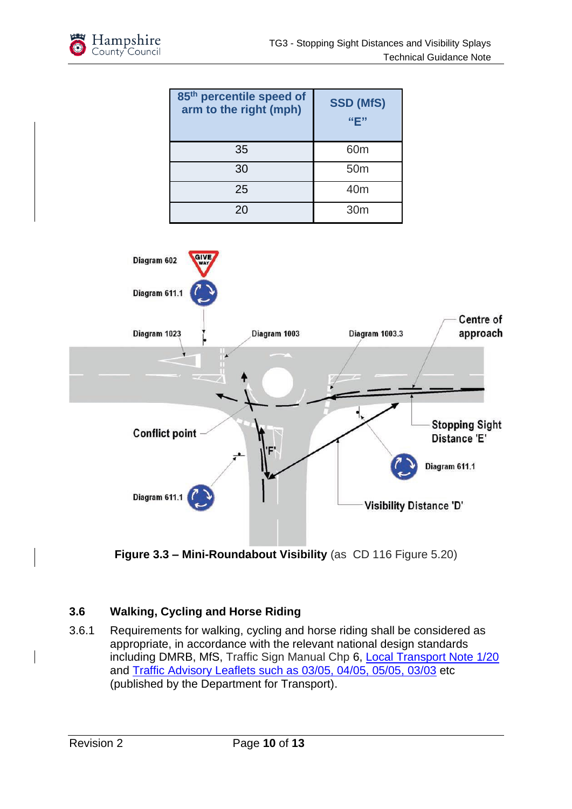| 85th percentile speed of<br>arm to the right (mph) | <b>SSD (MfS)</b><br>"F" |
|----------------------------------------------------|-------------------------|
| 35                                                 | 60 <sub>m</sub>         |
| 30                                                 | 50 <sub>m</sub>         |
| 25                                                 | 40 <sub>m</sub>         |
| 20                                                 | 30 <sub>m</sub>         |





#### <span id="page-9-0"></span>**3.6 Walking, Cycling and Horse Riding**

3.6.1 Requirements for walking, cycling and horse riding shall be considered as appropriate, in accordance with the relevant national design standards including DMRB, MfS, Traffic Sign Manual Chp 6, [Local Transport Note 1/20](https://www.gov.uk/government/collections/local-transport-notes) and [Traffic Advisory Leaflets such as](https://www.gov.uk/government/collections/traffic-advisory-leaflets) 03/05, 04/05, 05/05, 03/03 etc (published by the Department for Transport).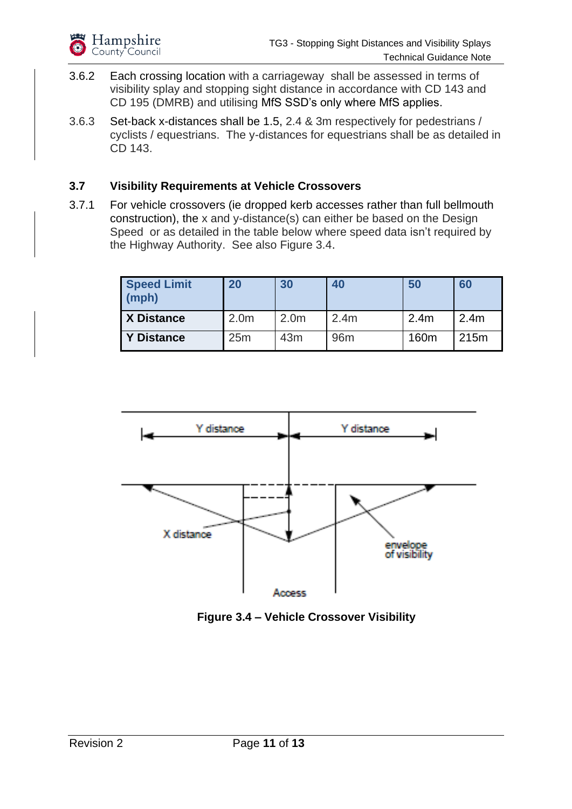- 3.6.2 Each crossing location with a carriageway shall be assessed in terms of visibility splay and stopping sight distance in accordance with CD 143 and CD 195 (DMRB) and utilising MfS SSD's only where MfS applies.
- 3.6.3 Set-back x-distances shall be 1.5, 2.4 & 3m respectively for pedestrians / cyclists / equestrians. The y-distances for equestrians shall be as detailed in CD 143.

#### <span id="page-10-0"></span>**3.7 Visibility Requirements at Vehicle Crossovers**

3.7.1 For vehicle crossovers (ie dropped kerb accesses rather than full bellmouth construction), the x and y-distance(s) can either be based on the Design Speed or as detailed in the table below where speed data isn't required by the Highway Authority. See also Figure 3.4.

| <b>Speed Limit</b><br>(mph) | 20               | 30               | 40               | 50               | 60               |
|-----------------------------|------------------|------------------|------------------|------------------|------------------|
| <b>X Distance</b>           | 2.0 <sub>m</sub> | 2.0 <sub>m</sub> | 2.4 <sub>m</sub> | 2.4 <sub>m</sub> | 2.4 <sub>m</sub> |
| <b>Y Distance</b>           | 25m              | 43 <sub>m</sub>  | 96 <sub>m</sub>  | 160 <sub>m</sub> | 215m             |



**Figure 3.4 – Vehicle Crossover Visibility**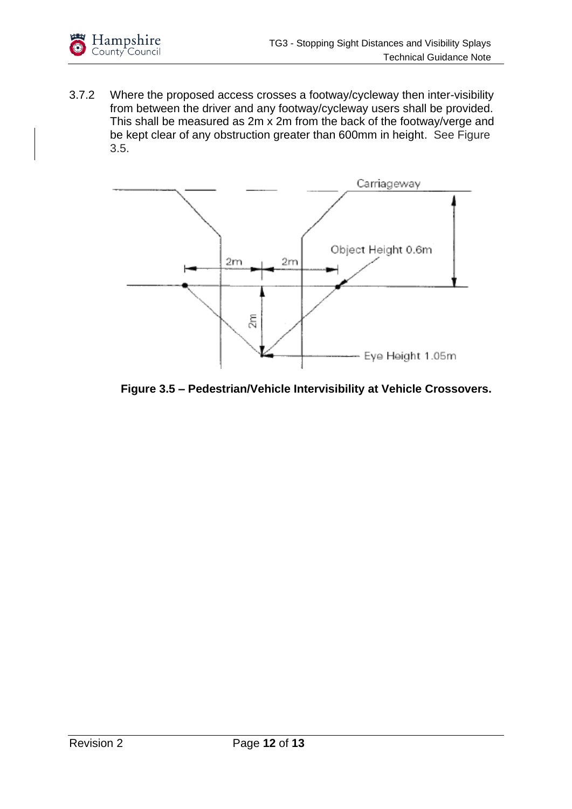

3.7.2 Where the proposed access crosses a footway/cycleway then inter-visibility from between the driver and any footway/cycleway users shall be provided. This shall be measured as 2m x 2m from the back of the footway/verge and be kept clear of any obstruction greater than 600mm in height. See Figure 3.5.



**Figure 3.5 – Pedestrian/Vehicle Intervisibility at Vehicle Crossovers.**